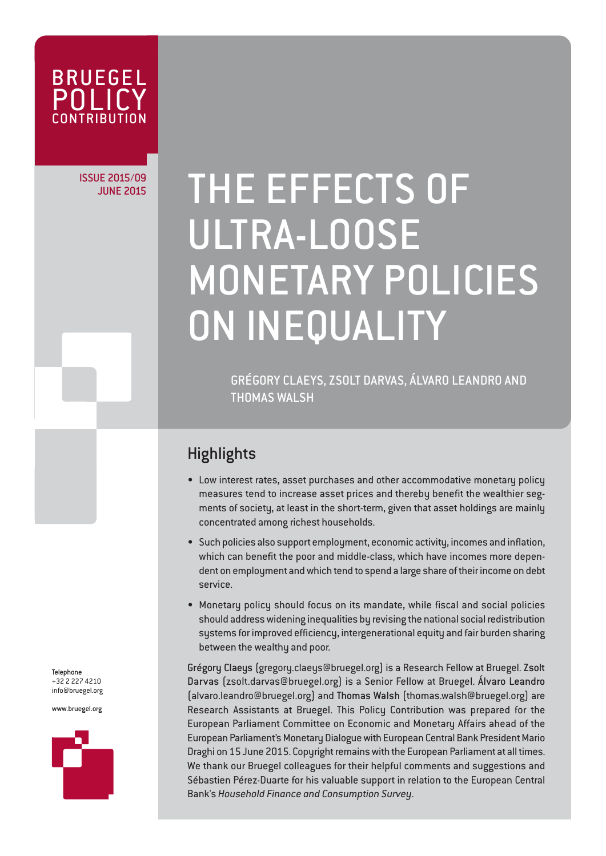

## ISSUE 2015/09

# JUNE 2015/09 THE EFFECTS OF ULTRA-LOOSE MONETARY POLICIES ON INEQUALITY

GRÉGORY CLAEYS, ZSOLT DARVAS, ÁLVARO LEANDRO AND **THOMAS WAI SH** 

### **Highlights**

- Low interest rates, asset purchases and other accommodative monetary policy measures tend to increase asset prices and thereby benefit the wealthier segments of society, at least in the short-term, given that asset holdings are mainly concentrated among richest households.
- Such policies also support employment, economic activity, incomes and inflation, which can benefit the poor and middle-class, which have incomes more dependent on employment and which tend to spend a large share of their income on debt service.
- Monetary policy should focus on its mandate, while fiscal and social policies should address widening inequalities by revising the national social redistribution systems for improved efficiency, intergenerational equity and fair burden sharing between the wealthy and poor.

Grégory Claeys (gregory.claeys@bruegel.org) is a Research Fellow at Bruegel. Zsolt Darvas (zsolt.darvas@bruegel.org) is a Senior Fellow at Bruegel. Álvaro Leandro (alvaro.leandro@bruegel.org) and Thomas Walsh (thomas.walsh@bruegel.org) are Research Assistants at Bruegel. This Policy Contribution was prepared for the European Parliament Committee on Economic and Monetary Affairs ahead of the European Parliament's Monetary Dialogue with European Central Bank President Mario Draghi on 15 June 2015. Copyright remains with the European Parliament at all times. We thank our Bruegel colleagues for their helpful comments and suggestions and Sébastien Pérez-Duarte for his valuable support in relation to the European Central Bank's *Household Finance and Consumption Survey*.

Telephone +32 2 227 4210 info@bruegel.org

www.bruegel.org

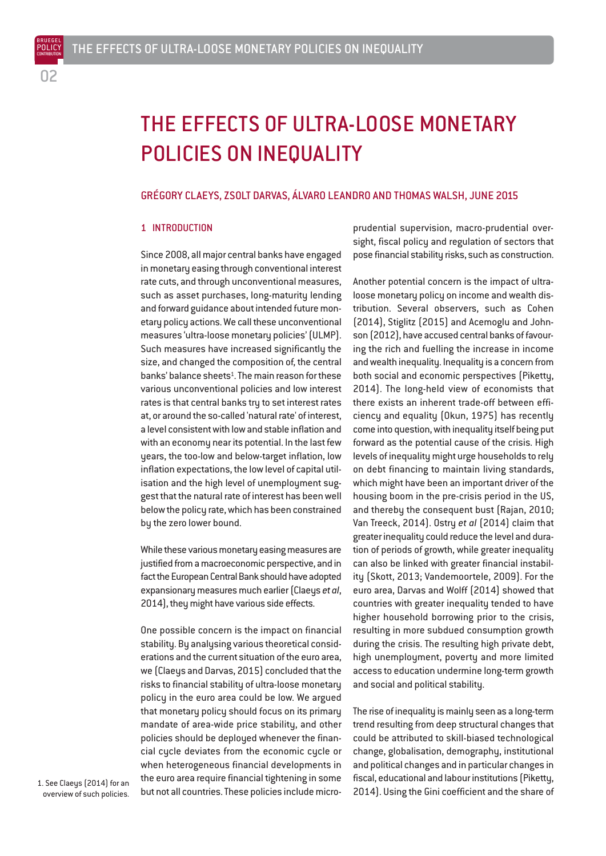BRUEGEL

## THE EFFECTS OF ULTRA-LOOSE MONETARY POLICIES ON INEQUALITY

#### GRÉGORY CLAEYS, ZSOLT DARVAS, ÁLVARO LEANDRO AND THOMAS WALSH, JUNE 2015

#### 1 INTRODUCTION

Since 2008, all major central banks have engaged in monetary easing through conventional interest rate cuts, and through unconventional measures, such as asset purchases, long-maturity lending and forward guidance about intended future monetary policy actions. We call these unconventional measures 'ultra-loose monetary policies' (ULMP). Such measures have increased significantly the size, and changed the composition of, the central banks' balance sheets<sup>1</sup>. The main reason for these various unconventional policies and low interest rates is that central banks try to set interest rates at, or around the so-called 'natural rate' of interest, a level consistent with low and stable inflation and with an economy near its potential. In the last few years, the too-low and below-target inflation, low inflation expectations, the low level of capital utilisation and the high level of unemployment suggest that the natural rate of interest has been well below the policy rate, which has been constrained by the zero lower bound.

While these various monetary easing measures are justified from a macroeconomic perspective, and in fact the European Central Bank should have adopted expansionary measures much earlier (Claeys *et al*, 2014), they might have various side effects.

One possible concern is the impact on financial stability. By analysing various theoretical considerations and the current situation of the euro area, we (Claeys and Darvas, 2015) concluded that the risks to financial stability of ultra-loose monetary policy in the euro area could be low. We argued that monetary policy should focus on its primary mandate of area-wide price stability, and other policies should be deployed whenever the financial cycle deviates from the economic cycle or when heterogeneous financial developments in the euro area require financial tightening in some but not all countries. These policies include microprudential supervision, macro-prudential oversight, fiscal policy and regulation of sectors that pose financial stability risks, such as construction.

Another potential concern is the impact of ultraloose monetary policy on income and wealth distribution. Several observers, such as Cohen (2014), Stiglitz (2015) and Acemoglu and Johnson (2012), have accused central banks of favouring the rich and fuelling the increase in income and wealth inequality. Inequality is a concern from both social and economic perspectives (Piketty, 2014). The long-held view of economists that there exists an inherent trade-off between efficiency and equality (Okun, 1975) has recently come into question, with inequality itself being put forward as the potential cause of the crisis. High levels of inequality might urge households to rely on debt financing to maintain living standards, which might have been an important driver of the housing boom in the pre-crisis period in the US, and thereby the consequent bust (Rajan, 2010; Van Treeck, 2014). Ostry *et al* (2014) claim that greater inequality could reduce the level and duration of periods of growth, while greater inequality can also be linked with greater financial instability (Skott, 2013; Vandemoortele, 2009). For the euro area, Darvas and Wolff (2014) showed that countries with greater inequality tended to have higher household borrowing prior to the crisis, resulting in more subdued consumption growth during the crisis. The resulting high private debt, high unemployment, poverty and more limited access to education undermine long-term growth and social and political stability.

The rise of inequality is mainly seen as a long-term trend resulting from deep structural changes that could be attributed to skill-biased technological change, globalisation, demography, institutional and political changes and in particular changes in fiscal, educational and labour institutions (Piketty, 2014). Using the Gini coefficient and the share of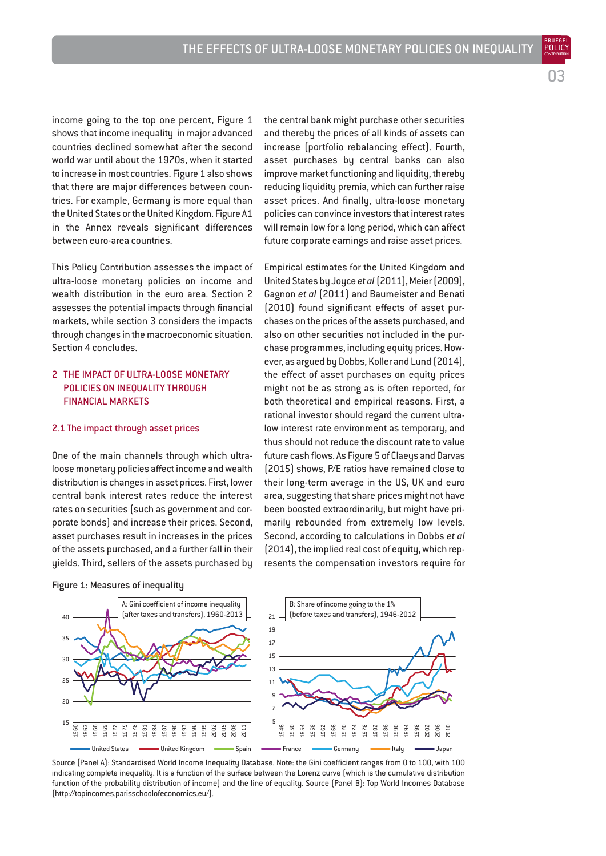03

BRUEGEL

income going to the top one percent, Figure 1 shows that income inequality in major advanced countries declined somewhat after the second world war until about the 1970s, when it started to increase in most countries. Figure 1 also shows that there are major differences between countries. For example, Germany is more equal than the United States or the United Kingdom. Figure A1 in the Annex reveals significant differences between euro-area countries.

This Policy Contribution assesses the impact of ultra-loose monetary policies on income and wealth distribution in the euro area. Section 2 assesses the potential impacts through financial markets, while section 3 considers the impacts through changes in the macroeconomic situation. Section 4 concludes.

#### 2 THE IMPACT OF III TRA-LOOSE MONETARY POLICIES ON INEQUALITY THROUGH FINANCIAL MARKETS

#### 2.1 The impact through asset prices

One of the main channels through which ultraloose monetary policies affect income and wealth distribution is changes in asset prices. First, lower central bank interest rates reduce the interest rates on securities (such as government and corporate bonds) and increase their prices. Second, asset purchases result in increases in the prices of the assets purchased, and a further fall in their yields. Third, sellers of the assets purchased by

Figure 1: Measures of inequality

the central bank might purchase other securities and thereby the prices of all kinds of assets can increase (portfolio rebalancing effect). Fourth, asset purchases by central banks can also improve market functioning and liquidity, thereby reducing liquidity premia, which can further raise asset prices. And finally, ultra-loose monetary policies can convince investors that interest rates will remain low for a long period, which can affect future corporate earnings and raise asset prices.

Empirical estimates for the United Kingdom and United States by Joyce *et al*(2011), Meier (2009), Gagnon *et al* (2011) and Baumeister and Benati (2010) found significant effects of asset purchases on the prices of the assets purchased, and also on other securities not included in the purchase programmes, including equity prices. However, as argued by Dobbs, Koller and Lund (2014), the effect of asset purchases on equity prices might not be as strong as is often reported, for both theoretical and empirical reasons. First, a rational investor should regard the current ultralow interest rate environment as temporary, and thus should not reduce the discount rate to value future cash flows. As Figure 5 of Claeys and Darvas (2015) shows, P/E ratios have remained close to their long-term average in the US, UK and euro area, suggesting that share prices might not have been boosted extraordinarily, but might have primarily rebounded from extremely low levels. Second, according to calculations in Dobbs *et al* (2014), the implied real cost of equity, which represents the compensation investors require for



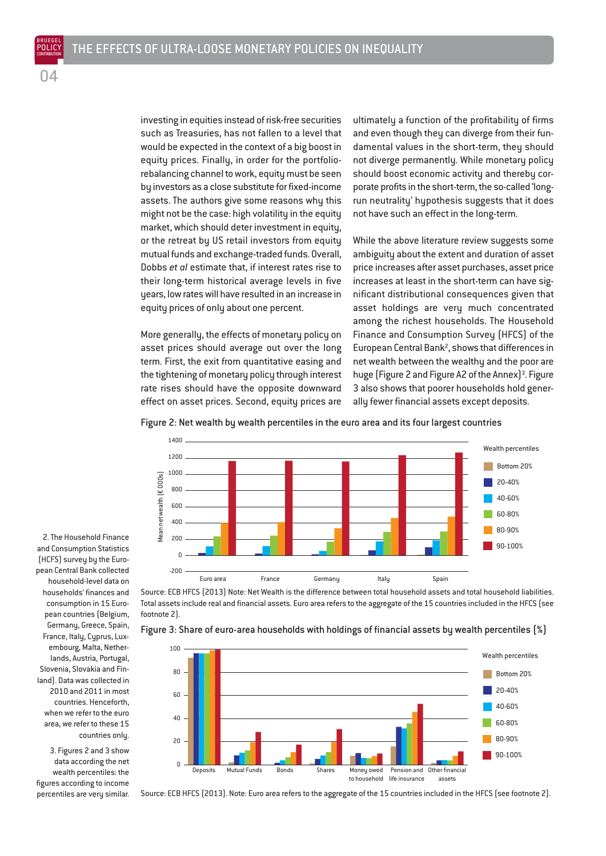investing in equities instead of risk-free securities such as Treasuries, has not fallen to a level that would be expected in the context of a big boost in equity prices. Finally, in order for the portfoliorebalancing channel to work, equity must be seen by investors as a close substitute for fixed-income assets. The authors give some reasons why this might not be the case: high volatility in the equity market, which should deter investment in equity, or the retreat by US retail investors from equity mutual funds and exchange-traded funds. Overall, Dobbs *et al* estimate that, if interest rates rise to their long-term historical average levels in five years, low rates will have resulted in an increase in equity prices of only about one percent.

More generally, the effects of monetary policy on asset prices should average out over the long term. First, the exit from quantitative easing and the tightening of monetary policy through interest rate rises should have the opposite downward effect on asset prices. Second, equity prices are

ultimately a function of the profitability of firms and even though they can diverge from their fundamental values in the short-term, they should not diverge permanently. While monetary policy should boost economic activity and thereby corporate profits in the short-term, the so-called 'longrun neutrality' hypothesis suggests that it does not have such an effect in the long-term.

While the above literature review suggests some ambiguity about the extent and duration of asset price increases after asset purchases, asset price increases at least in the short-term can have significant distributional consequences given that asset holdings are very much concentrated among the richest households. The Household Finance and Consumption Survey (HFCS) of the European Central Bank<sup>2</sup>, shows that differences in net wealth between the wealthy and the poor are huge (Figure 2 and Figure A2 of the Annex)<sup>3</sup>. Figure 3 also shows that poorer households hold generally fewer financial assets except deposits.

Figure 2: Net wealth by wealth percentiles in the euro area and its four largest countries



Source: ECB HFCS (2013) Note: Net Wealth is the difference between total household assets and total household liabilities. Total assets include real and financial assets. Euro area refers to the aggregate of the 15 countries included in the HFCS (see footnote 2).



Figure 3: Share of euro-area households with holdings of financial assets by wealth percentiles (%)

Source: ECB HFCS (2013). Note: Euro area refers to the aggregate of the 15 countries included in the HFCS (see footnote 2).

(HCFS) survey by the European Central Bank collected household-level data on households' finances and consumption in 15 European countries (Belgium, Germany, Greece, Spain, France, Italy, Cyprus, Luxembourg, Malta, Netherlands, Austria, Portugal, Slovenia, Slovakia and Finland). Data was collected in 2010 and 2011 in most countries. Henceforth, when we refer to the euro area, we refer to these 15 countries only.

2. The Household Finance and Consumption Statistics

POLICY **CONTRIBUTION**  $\cap \Delta$ 

3. Figures 2 and 3 show data according the net wealth percentiles: the figures according to income percentiles are very similar.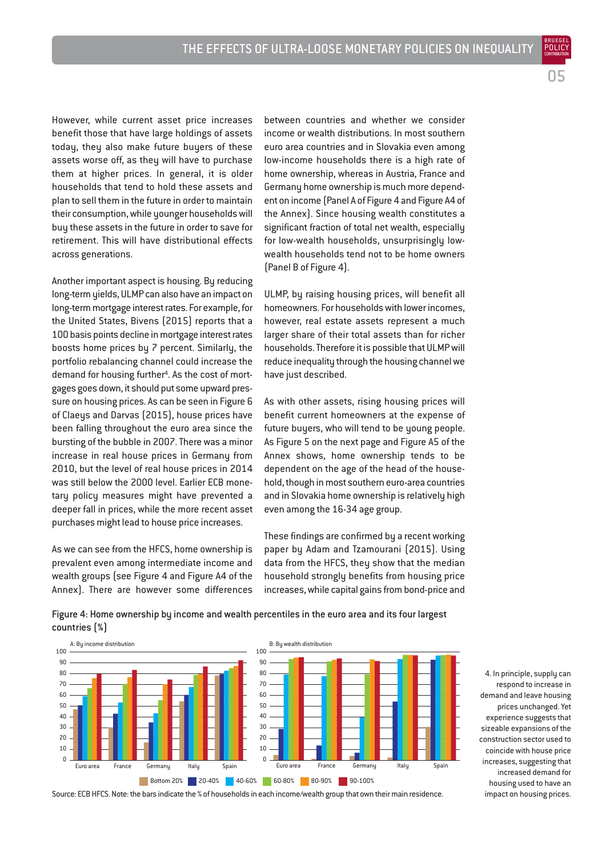POLICY **CONTRIBUTION** በ5

However, while current asset price increases benefit those that have large holdings of assets today, they also make future buyers of these assets worse off, as they will have to purchase them at higher prices. In general, it is older households that tend to hold these assets and plan to sell them in the future in order to maintain their consumption, while younger households will buy these assets in the future in order to save for retirement. This will have distributional effects across generations.

Another important aspect is housing. By reducing long-term yields, ULMP can also have an impact on long-term mortgage interest rates. For example, for the United States, Bivens (2015) reports that a 100 basis points decline in mortgage interest rates boosts home prices by 7 percent. Similarly, the portfolio rebalancing channel could increase the demand for housing further<sup>4</sup>. As the cost of mortgages goes down, it should put some upward pressure on housing prices. As can be seen in Figure 6 of Claeys and Darvas (2015), house prices have been falling throughout the euro area since the bursting of the bubble in 2007. There was a minor increase in real house prices in Germany from 2010, but the level of real house prices in 2014 was still below the 2000 level. Earlier ECB monetary policy measures might have prevented a deeper fall in prices, while the more recent asset purchases might lead to house price increases.

As we can see from the HFCS, home ownership is prevalent even among intermediate income and wealth groups (see Figure 4 and Figure A4 of the Annex). There are however some differences between countries and whether we consider income or wealth distributions. In most southern euro area countries and in Slovakia even among low-income households there is a high rate of home ownership, whereas in Austria, France and Germany home ownership is much more dependent on income (Panel A of Figure 4 and Figure A4 of the Annex). Since housing wealth constitutes a significant fraction of total net wealth, especially for low-wealth households, unsurprisingly lowwealth households tend not to be home owners (Panel B of Figure 4).

ULMP, by raising housing prices, will benefit all homeowners. For households with lower incomes, however, real estate assets represent a much larger share of their total assets than for richer households. Therefore it is possible that ULMP will reduce inequality through the housing channel we have just described.

As with other assets, rising housing prices will benefit current homeowners at the expense of future buyers, who will tend to be young people. As Figure 5 on the next page and Figure A5 of the Annex shows, home ownership tends to be dependent on the age of the head of the household, though in most southern euro-area countries and in Slovakia home ownership is relatively high even among the 16-34 age group.

These findings are confirmed by a recent working paper by Adam and Tzamourani (2015). Using data from the HFCS, they show that the median household strongly benefits from housing price increases, while capital gains from bond-price and

Figure 4: Home ownership by income and wealth percentiles in the euro area and its four largest countries (%)



Source: ECB HFCS. Note: the bars indicate the % of households in each income/wealth group that own their main residence.

4. In principle, supply can respond to increase in demand and leave housing prices unchanged. Yet experience suggests that sizeable expansions of the construction sector used to coincide with house price increases, suggesting that increased demand for housing used to have an impact on housing prices.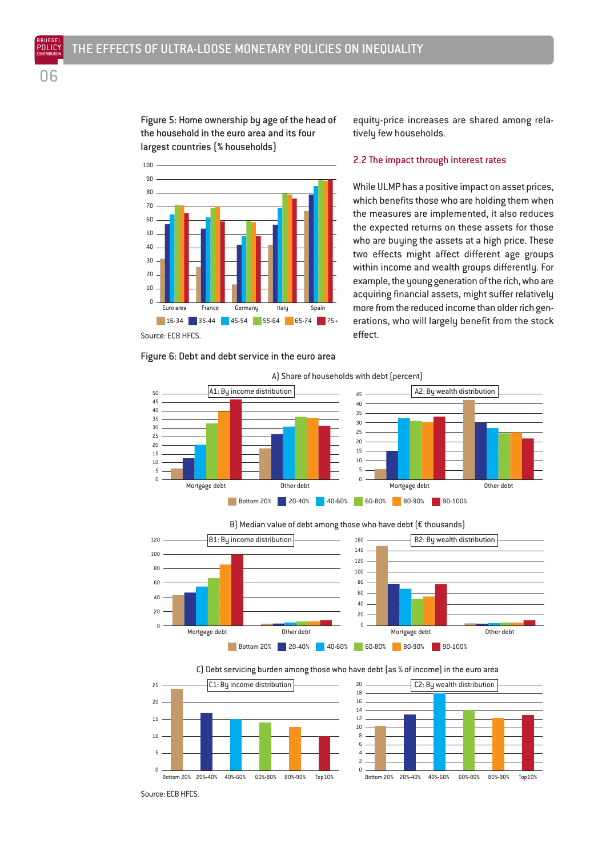Figure 5: Home ownership by age of the head of the household in the euro area and its four largest countries (% households)

equity-price increases are shared among relatively few households.

#### 2.2 The impact through interest rates

 Euro area France Germany Italy Spain 16-34 35-44 45-54 55-64 65-74 75+ Source: ECB HFCS.

Figure 6: Debt and debt service in the euro area

While ULMP has a positive impact on asset prices, which benefits those who are holding them when the measures are implemented, it also reduces the expected returns on these assets for those who are buying the assets at a high price. These two effects might affect different age groups within income and wealth groups differently. For example, the young generation of the rich, who are acquiring financial assets, might suffer relatively more from the reduced income than older rich generations, who will largely benefit from the stock effect.



 $\theta$  Mortgage debt **Contract Contract Contract Contract Contract Contract Contract Contract Contract Contract Contract Contract Contract Contract Contract Contract Contract Contract Contract Contract Contract Contract Contract**  Mortgage debt Other debt Bottom 20% 20-40% 40-60% 60-80% 80-90% 90-100% B1: By income distribution B2: By wealth distribution







Source: ECB HFCS.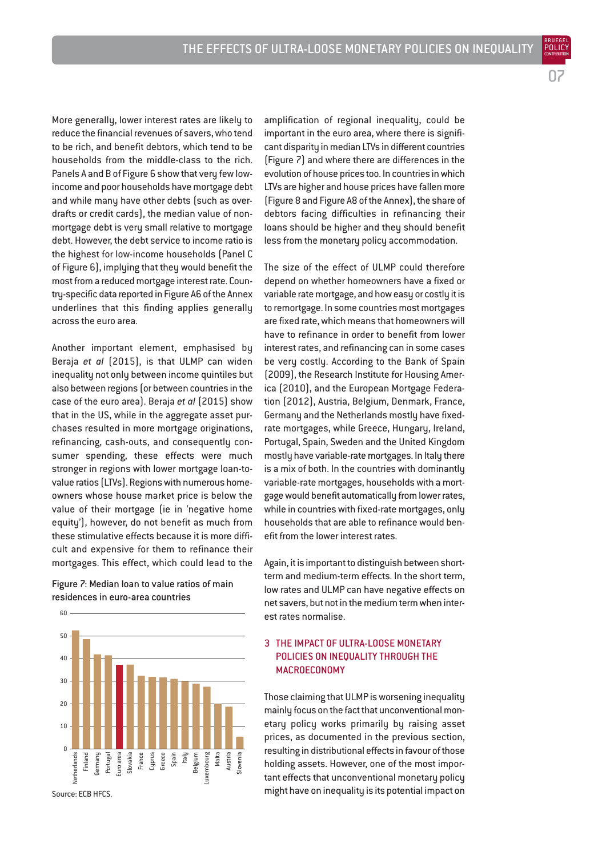07

BRUEGEL

More generally, lower interest rates are likely to reduce the financial revenues of savers, who tend to be rich, and benefit debtors, which tend to be households from the middle-class to the rich. Panels A and B of Figure 6 show that very few lowincome and poor households have mortgage debt and while many have other debts (such as overdrafts or credit cards), the median value of nonmortgage debt is very small relative to mortgage debt. However, the debt service to income ratio is the highest for low-income households (Panel C of Figure 6), implying that they would benefit the most from a reduced mortgage interest rate. Country-specific data reported in Figure A6 of the Annex underlines that this finding applies generally across the euro area.

Another important element, emphasised by Beraja *et al* (2015), is that ULMP can widen inequality not only between income quintiles but also between regions (or between countries in the case of the euro area). Beraja *et al* (2015) show that in the US, while in the aggregate asset purchases resulted in more mortgage originations, refinancing, cash-outs, and consequently consumer spending, these effects were much stronger in regions with lower mortgage loan-tovalue ratios (LTVs). Regions with numerous homeowners whose house market price is below the value of their mortgage (ie in 'negative home equity'), however, do not benefit as much from these stimulative effects because it is more difficult and expensive for them to refinance their mortgages. This effect, which could lead to the

Figure 7: Median loan to value ratios of main residences in euro-area countries



Source: ECB HFCS.

60

amplification of regional inequality, could be important in the euro area, where there is significant disparity in median LTVs in different countries (Figure 7) and where there are differences in the evolution of house prices too. In countries in which LTVs are higher and house prices have fallen more (Figure 8 and Figure A8 of the Annex), the share of debtors facing difficulties in refinancing their loans should be higher and they should benefit less from the monetary policy accommodation.

The size of the effect of ULMP could therefore depend on whether homeowners have a fixed or variable rate mortgage, and how easy or costly it is to remortgage. In some countries most mortgages are fixed rate, which means that homeowners will have to refinance in order to benefit from lower interest rates, and refinancing can in some cases be very costly. According to the Bank of Spain (2009), the Research Institute for Housing America (2010), and the European Mortgage Federation (2012), Austria, Belgium, Denmark, France, Germany and the Netherlands mostly have fixedrate mortgages, while Greece, Hungary, Ireland, Portugal, Spain, Sweden and the United Kingdom mostly have variable-rate mortgages. In Italy there is a mix of both. In the countries with dominantly variable-rate mortgages, households with a mortgage would benefit automatically from lower rates, while in countries with fixed-rate mortgages, only households that are able to refinance would benefit from the lower interest rates.

Again, it is important to distinguish between shortterm and medium-term effects. In the short term, low rates and ULMP can have negative effects on net savers, but not in the medium term when interest rates normalise.

#### 3 THE IMPACT OF ULTRA-LOOSE MONETARY POLICIES ON INEQUALITY THROUGH THE MACROECONOMY

Those claiming that ULMP is worsening inequality mainly focus on the fact that unconventional monetary policy works primarily by raising asset prices, as documented in the previous section, resulting in distributional effects in favour of those holding assets. However, one of the most important effects that unconventional monetary policy might have on inequality is its potential impact on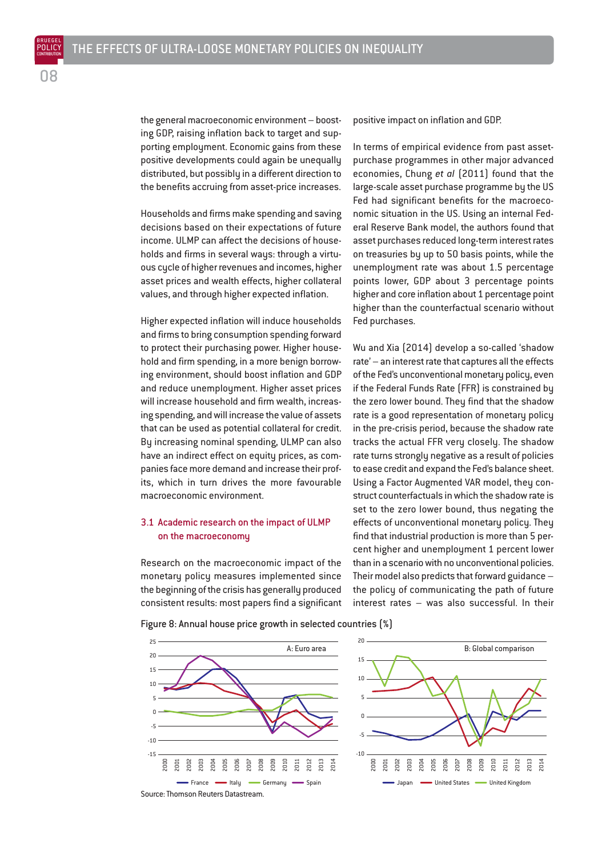the general macroeconomic environment – boosting GDP, raising inflation back to target and supporting employment. Economic gains from these positive developments could again be unequally distributed, but possibly in a different direction to the benefits accruing from asset-price increases.

Households and firms make spending and saving decisions based on their expectations of future income. ULMP can affect the decisions of households and firms in several ways: through a virtuous cycle of higher revenues and incomes, higher asset prices and wealth effects, higher collateral values, and through higher expected inflation.

Higher expected inflation will induce households and firms to bring consumption spending forward to protect their purchasing power. Higher household and firm spending, in a more benign borrowing environment, should boost inflation and GDP and reduce unemployment. Higher asset prices will increase household and firm wealth, increasing spending, and will increase the value of assets that can be used as potential collateral for credit. By increasing nominal spending, ULMP can also have an indirect effect on equity prices, as companies face more demand and increase their profits, which in turn drives the more favourable macroeconomic environment.

#### 3.1 Academic research on the impact of ULMP on the macroeconomy

Research on the macroeconomic impact of the monetary policy measures implemented since the beginning of the crisis has generally produced consistent results: most papers find a significant positive impact on inflation and GDP.

In terms of empirical evidence from past assetpurchase programmes in other major advanced economies, Chung *et al* (2011) found that the large-scale asset purchase programme by the US Fed had significant benefits for the macroeconomic situation in the US. Using an internal Federal Reserve Bank model, the authors found that asset purchases reduced long-term interest rates on treasuries by up to 50 basis points, while the unemployment rate was about 1.5 percentage points lower, GDP about 3 percentage points higher and core inflation about 1 percentage point higher than the counterfactual scenario without Fed purchases.

Wu and Xia (2014) develop a so-called 'shadow rate' – an interest rate that captures all the effects of the Fed's unconventional monetary policy, even if the Federal Funds Rate (FFR) is constrained by the zero lower bound. They find that the shadow rate is a good representation of monetary policy in the pre-crisis period, because the shadow rate tracks the actual FFR very closely. The shadow rate turns strongly negative as a result of policies to ease credit and expand the Fed's balance sheet. Using a Factor Augmented VAR model, they construct counterfactuals in which the shadow rate is set to the zero lower bound, thus negating the effects of unconventional monetary policy. They find that industrial production is more than 5 percent higher and unemployment 1 percent lower than in a scenario with no unconventional policies. Their model also predicts that forward guidance – the policy of communicating the path of future interest rates – was also successful. In their

Figure 8: Annual house price growth in selected countries (%)



08 POLICY

BRUEGEL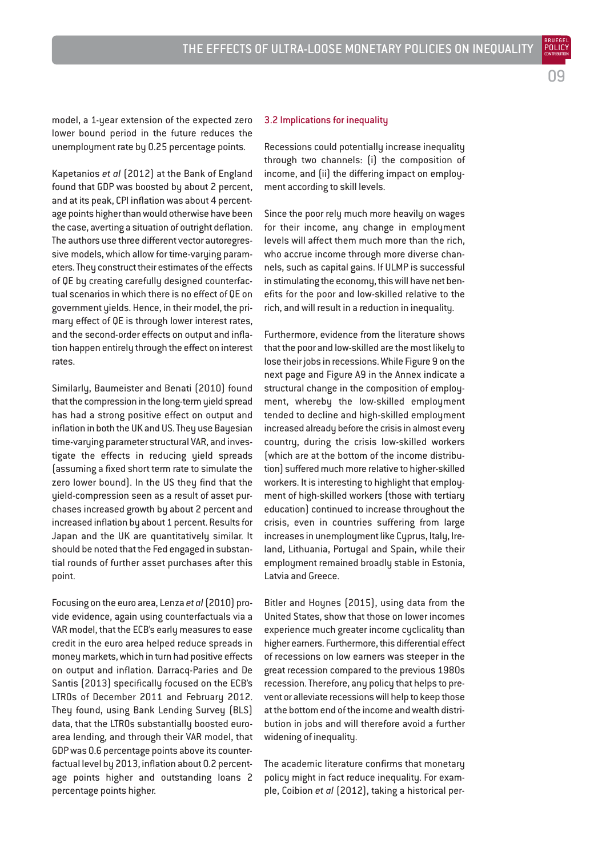model, a 1-year extension of the expected zero lower bound period in the future reduces the unemployment rate by 0.25 percentage points.

Kapetanios *et al* (2012) at the Bank of England found that GDP was boosted by about 2 percent, and at its peak, CPI inflation was about 4 percentage points higher than would otherwise have been the case, averting a situation of outright deflation. The authors use three different vector autoregressive models, which allow for time-varying parameters. They construct their estimates of the effects of QE by creating carefully designed counterfactual scenarios in which there is no effect of QE on government yields. Hence, in their model, the primary effect of QE is through lower interest rates, and the second-order effects on output and inflation happen entirely through the effect on interest rates.

Similarly, Baumeister and Benati (2010) found that the compression in the long-term yield spread has had a strong positive effect on output and inflation in both the UK and US. They use Bayesian time-varying parameter structural VAR, and investigate the effects in reducing yield spreads (assuming a fixed short term rate to simulate the zero lower bound). In the US they find that the yield-compression seen as a result of asset purchases increased growth by about 2 percent and increased inflation by about 1 percent. Results for Japan and the UK are quantitatively similar. It should be noted that the Fed engaged in substantial rounds of further asset purchases after this point.

Focusing on the euro area, Lenza *et al*(2010) provide evidence, again using counterfactuals via a VAR model, that the ECB's early measures to ease credit in the euro area helped reduce spreads in money markets, which in turn had positive effects on output and inflation. Darracq-Paries and De Santis (2013) specifically focused on the ECB's LTROs of December 2011 and February 2012. They found, using Bank Lending Survey (BLS) data, that the LTROs substantially boosted euroarea lending, and through their VAR model, that GDP was 0.6 percentage points above its counterfactual level by 2013, inflation about 0.2 percentage points higher and outstanding loans 2 percentage points higher.

#### 3.2 Implications for inequality

Recessions could potentially increase inequality through two channels: (i) the composition of income, and (ii) the differing impact on employment according to skill levels.

Since the poor rely much more heavily on wages for their income, any change in employment levels will affect them much more than the rich, who accrue income through more diverse channels, such as capital gains. If ULMP is successful in stimulating the economy, this will have net benefits for the poor and low-skilled relative to the rich, and will result in a reduction in inequality.

Furthermore, evidence from the literature shows that the poor and low-skilled are the most likely to lose their jobs in recessions. While Figure 9 on the next page and Figure A9 in the Annex indicate a structural change in the composition of employment, whereby the low-skilled employment tended to decline and high-skilled employment increased already before the crisis in almost every country, during the crisis low-skilled workers (which are at the bottom of the income distribution) suffered much more relative to higher-skilled workers. It is interesting to highlight that employment of high-skilled workers (those with tertiary education) continued to increase throughout the crisis, even in countries suffering from large increases in unemployment like Cyprus, Italy, Ireland, Lithuania, Portugal and Spain, while their employment remained broadly stable in Estonia, Latvia and Greece.

Bitler and Hoynes (2015), using data from the United States, show that those on lower incomes experience much greater income cyclicality than higher earners. Furthermore, this differential effect of recessions on low earners was steeper in the great recession compared to the previous 1980s recession. Therefore, any policy that helps to prevent or alleviate recessions will help to keep those at the bottom end of the income and wealth distribution in jobs and will therefore avoid a further widening of inequality.

The academic literature confirms that monetary policy might in fact reduce inequality. For example, Coibion *et al* (2012), taking a historical perBRUEGEL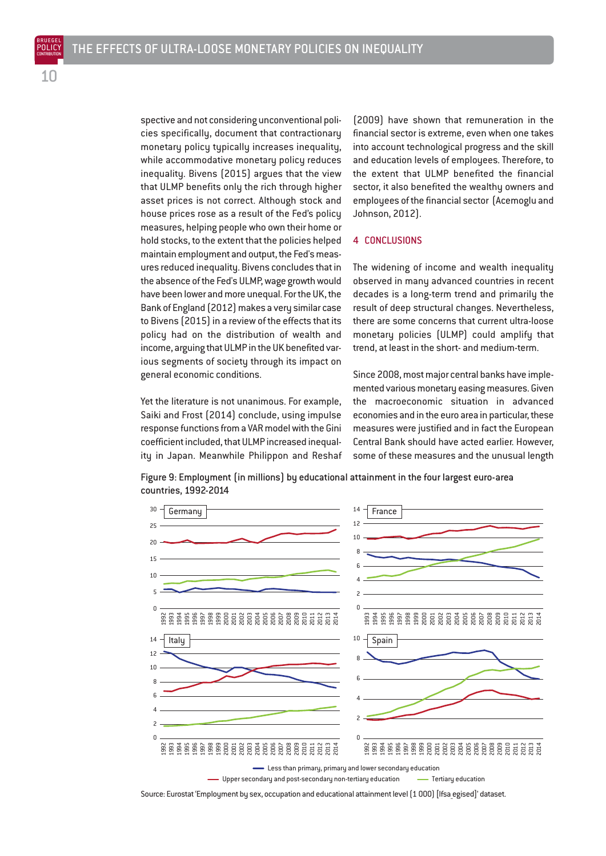spective and not considering unconventional policies specifically, document that contractionary monetary policy typically increases inequality, while accommodative monetary policy reduces inequality. Bivens (2015) argues that the view that ULMP benefits only the rich through higher asset prices is not correct. Although stock and house prices rose as a result of the Fed's policy measures, helping people who own their home or hold stocks, to the extent that the policies helped maintain employment and output, the Fed's measures reduced inequality. Bivens concludes that in the absence of the Fed's ULMP, wage growth would have been lower and more unequal. For the UK, the Bank of England (2012) makes a very similar case to Bivens (2015) in a review of the effects that its policy had on the distribution of wealth and income, arguing that ULMP in the UK benefited various segments of society through its impact on general economic conditions.

Yet the literature is not unanimous. For example, Saiki and Frost (2014) conclude, using impulse response functions from a VAR model with the Gini coefficient included, that ULMP increased inequality in Japan. Meanwhile Philippon and Reshaf (2009) have shown that remuneration in the financial sector is extreme, even when one takes into account technological progress and the skill and education levels of employees. Therefore, to the extent that ULMP benefited the financial sector, it also benefited the wealthy owners and employees of the financial sector (Acemoglu and Johnson, 2012).

#### 4 CONCLUSIONS

The widening of income and wealth inequality observed in many advanced countries in recent decades is a long-term trend and primarily the result of deep structural changes. Nevertheless, there are some concerns that current ultra-loose monetary policies (ULMP) could amplify that trend, at least in the short- and medium-term.

Since 2008, most major central banks have implemented various monetary easing measures. Given the macroeconomic situation in advanced economies and in the euro area in particular, these measures were justified and in fact the European Central Bank should have acted earlier. However, some of these measures and the unusual length

Figure 9: Employment (in millions) by educational attainment in the four largest euro-area countries, 1992-2014



 $\hspace{0.1cm}-$  Upper secondary and post-secondary non-tertiary education  $\hspace{1cm}-$  Tertiary education

Source: Eurostat 'Employment by sex, occupation and educational attainment level (1 000) [lfsa\_egised]' dataset.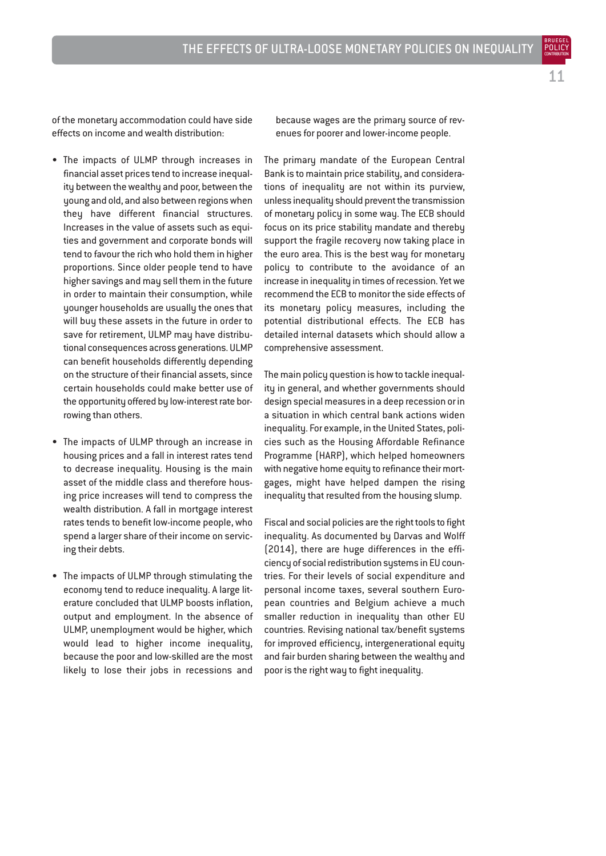BRUEGEL

of the monetary accommodation could have side effects on income and wealth distribution:

- The impacts of ULMP through increases in financial asset prices tend to increase inequality between the wealthy and poor, between the young and old, and also between regions when they have different financial structures. Increases in the value of assets such as equities and government and corporate bonds will tend to favour the rich who hold them in higher proportions. Since older people tend to have higher savings and may sell them in the future in order to maintain their consumption, while younger households are usually the ones that will buy these assets in the future in order to save for retirement, ULMP may have distributional consequences across generations. ULMP can benefit households differently depending on the structure of their financial assets, since certain households could make better use of the opportunity offered by low-interest rate borrowing than others.
- The impacts of ULMP through an increase in housing prices and a fall in interest rates tend to decrease inequality. Housing is the main asset of the middle class and therefore housing price increases will tend to compress the wealth distribution. A fall in mortgage interest rates tends to benefit low-income people, who spend a larger share of their income on servicing their debts.
- The impacts of ULMP through stimulating the economy tend to reduce inequality. A large literature concluded that ULMP boosts inflation, output and employment. In the absence of ULMP, unemployment would be higher, which would lead to higher income inequality, because the poor and low-skilled are the most likely to lose their jobs in recessions and

because wages are the primary source of revenues for poorer and lower-income people.

The primary mandate of the European Central Bank is to maintain price stability, and considerations of inequality are not within its purview, unless inequality should prevent the transmission of monetary policy in some way. The ECB should focus on its price stability mandate and thereby support the fragile recovery now taking place in the euro area. This is the best way for monetary policy to contribute to the avoidance of an increase in inequality in times of recession. Yet we recommend the ECB to monitor the side effects of its monetary policy measures, including the potential distributional effects. The ECB has detailed internal datasets which should allow a comprehensive assessment.

The main policy question is how to tackle inequality in general, and whether governments should design special measures in a deep recession or in a situation in which central bank actions widen inequality. For example, in the United States, policies such as the Housing Affordable Refinance Programme (HARP), which helped homeowners with negative home equity to refinance their mortgages, might have helped dampen the rising inequality that resulted from the housing slump.

Fiscal and social policies are the right tools to fight inequality. As documented by Darvas and Wolff (2014), there are huge differences in the efficiency of social redistribution systems in EU countries. For their levels of social expenditure and personal income taxes, several southern European countries and Belgium achieve a much smaller reduction in inequality than other EU countries. Revising national tax/benefit systems for improved efficiency, intergenerational equity and fair burden sharing between the wealthy and poor is the right way to fight inequality.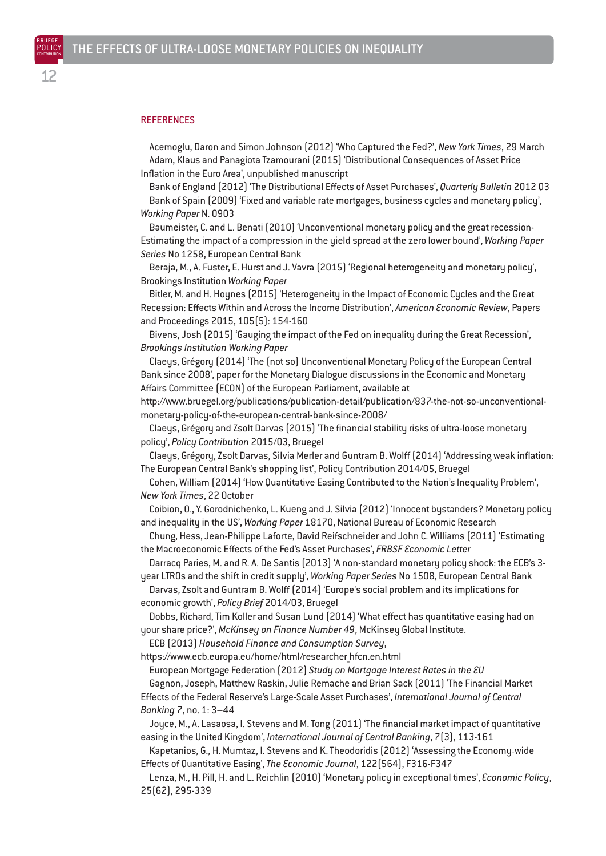BRUEGEL POLICY

#### **REFERENCES**

Acemoglu, Daron and Simon Johnson (2012) 'Who Captured the Fed?', *New York Times*, 29 March Adam, Klaus and Panagiota Tzamourani (2015) 'Distributional Consequences of Asset Price Inflation in the Euro Area', unpublished manuscript

Bank of England (2012) 'The Distributional Effects of Asset Purchases', *Quarterly Bulletin* 2012 Q3 Bank of Spain (2009) 'Fixed and variable rate mortgages, business cycles and monetary policy', *Working Paper* N. 0903

Baumeister, C. and L. Benati (2010) 'Unconventional monetary policy and the great recession-Estimating the impact of a compression in the yield spread at the zero lower bound', *Working Paper Series* No 1258, European Central Bank

Beraja, M., A. Fuster, E. Hurst and J. Vavra (2015) 'Regional heterogeneity and monetary policy', Brookings Institution *Working Paper*

Bitler, M. and H. Hoynes (2015) 'Heterogeneity in the Impact of Economic Cycles and the Great Recession: Effects Within and Across the Income Distribution', *American Economic Review*, Papers and Proceedings 2015, 105(5): 154-160

Bivens, Josh (2015) 'Gauging the impact of the Fed on inequality during the Great Recession', *Brookings Institution Working Paper*

Claeys, Grégory (2014) 'The (not so) Unconventional Monetary Policy of the European Central Bank since 2008', paper for the Monetary Dialogue discussions in the Economic and Monetary Affairs Committee (ECON) of the European Parliament, available at

http://www.bruegel.org/publications/publication-detail/publication/837-the-not-so-unconventionalmonetary-policy-of-the-european-central-bank-since-2008/

Claeys, Grégory and Zsolt Darvas (2015) 'The financial stability risks of ultra-loose monetary policy', *Policy Contribution* 2015/03, Bruegel

Claeys, Grégory, Zsolt Darvas, Silvia Merler and Guntram B. Wolff (2014) 'Addressing weak inflation: The European Central Bank's shopping list', Policy Contribution 2014/05, Bruegel

Cohen, William (2014) 'How Quantitative Easing Contributed to the Nation's Inequality Problem', *New York Times*, 22 October

Coibion, O., Y. Gorodnichenko, L. Kueng and J. Silvia (2012) 'Innocent bystanders? Monetary policy and inequality in the US', *Working Paper* 18170, National Bureau of Economic Research

Chung, Hess, Jean-Philippe Laforte, David Reifschneider and John C. Williams (2011) 'Estimating the Macroeconomic Effects of the Fed's Asset Purchases', *FRBSF Economic Letter*

Darracq Paries, M. and R. A. De Santis (2013) 'A non-standard monetary policy shock: the ECB's 3 year LTROs and the shift in credit supply', *Working Paper Series* No 1508, European Central Bank

Darvas, Zsolt and Guntram B. Wolff (2014) 'Europe's social problem and its implications for economic growth', *Policy Brief* 2014/03, Bruegel

Dobbs, Richard, Tim Koller and Susan Lund (2014) 'What effect has quantitative easing had on your share price?', *McKinsey on Finance Number 49*, McKinsey Global Institute.

ECB (2013) *Household Finance and Consumption Survey*,

https://www.ecb.europa.eu/home/html/researcher\_hfcn.en.html

European Mortgage Federation (2012) *Study on Mortgage Interest Rates in the EU*

Gagnon, Joseph, Matthew Raskin, Julie Remache and Brian Sack (2011) 'The Financial Market Effects of the Federal Reserve's Large-Scale Asset Purchases', *International Journal of Central Banking* 7, no. 1: 3–44

Joyce, M., A. Lasaosa, I. Stevens and M. Tong (2011) 'The financial market impact of quantitative easing in the United Kingdom', *International Journal of Central Banking*, 7(3), 113-161

Kapetanios, G., H. Mumtaz, I. Stevens and K. Theodoridis (2012) 'Assessing the Economy‐wide Effects of Quantitative Easing', *The Economic Journal*, 122(564), F316-F347

Lenza, M., H. Pill, H. and L. Reichlin (2010) 'Monetary policy in exceptional times', *Economic Policy*, 25(62), 295-339